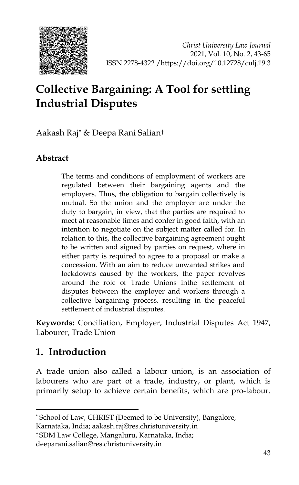

# **Collective Bargaining: A Tool for settling Industrial Disputes**

Aakash Raj[\\*](#page-0-0) & Deepa Rani Salian[†](#page-0-1)

# **Abstract**

The terms and conditions of employment of workers are regulated between their bargaining agents and the employers. Thus, the obligation to bargain collectively is mutual. So the union and the employer are under the duty to bargain, in view, that the parties are required to meet at reasonable times and confer in good faith, with an intention to negotiate on the subject matter called for. In relation to this, the collective bargaining agreement ought to be written and signed by parties on request, where in either party is required to agree to a proposal or make a concession. With an aim to reduce unwanted strikes and lockdowns caused by the workers, the paper revolves around the role of Trade Unions inthe settlement of disputes between the employer and workers through a collective bargaining process, resulting in the peaceful settlement of industrial disputes.

**Keywords:** Conciliation, Employer, Industrial Disputes Act 1947, Labourer, Trade Union

# **1. Introduction**

-

A trade union also called a labour union, is an association of labourers who are part of a trade, industry, or plant, which is primarily setup to achieve certain benefits, which are pro-labour.

Karnataka, India; aakash.raj@res.christuniversity.in

<span id="page-0-1"></span>† SDM Law College, Mangaluru, Karnataka, India;

deeparani.salian@res.christuniversity.in

<span id="page-0-0"></span><sup>\*</sup> School of Law, CHRIST (Deemed to be University), Bangalore,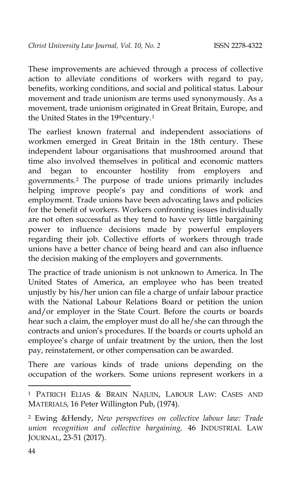These improvements are achieved through a process of collective action to alleviate conditions of workers with regard to pay, benefits, working conditions, and social and political status. Labour movement and trade unionism are terms used synonymously. As a movement, trade unionism originated in Great Britain, Europe, and the United States in the [1](#page-1-0)9thcentury.<sup>1</sup>

The earliest known fraternal and independent associations of workmen emerged in Great Britain in the 18th century. These independent labour organisations that mushroomed around that time also involved themselves in political and economic matters and began to encounter hostility from employers and governments.[2](#page-1-1) The purpose of trade unions primarily includes helping improve people's pay and conditions of work and employment. Trade unions have been advocating laws and policies for the benefit of workers. Workers confronting issues individually are not often successful as they tend to have very little bargaining power to influence decisions made by powerful employers regarding their job. Collective efforts of workers through trade unions have a better chance of being heard and can also influence the decision making of the employers and governments.

The practice of trade unionism is not unknown to America. In The United States of America, an employee who has been treated unjustly by his/her union can file a charge of unfair labour practice with the National Labour Relations Board or petition the union and/or employer in the State Court. Before the courts or boards hear such a claim, the employer must do all he/she can through the contracts and union's procedures. If the boards or courts uphold an employee's charge of unfair treatment by the union, then the lost pay, reinstatement, or other compensation can be awarded.

There are various kinds of trade unions depending on the occupation of the workers. Some unions represent workers in a

<span id="page-1-0"></span><sup>1</sup> PATRICH ELIAS & BRAIN NAJUIN, LABOUR LAW: CASES AND MATERIALS*,* 16 Peter Willington Pub, (1974).

<span id="page-1-1"></span><sup>2</sup> Ewing &Hendy, *New perspectives on collective labour law: Trade union recognition and collective bargaining,* 46 INDUSTRIAL LAW JOURNAL, 23-51 (2017).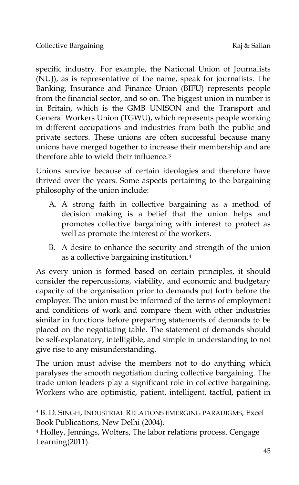-

specific industry. For example, the National Union of Journalists (NUJ), as is representative of the name, speak for journalists. The Banking, Insurance and Finance Union (BIFU) represents people from the financial sector, and so on. The biggest union in number is in Britain, which is the GMB UNISON and the Transport and General Workers Union (TGWU), which represents people working in different occupations and industries from both the public and private sectors. These unions are often successful because many unions have merged together to increase their membership and are therefore able to wield their influence.[3](#page-2-0)

Unions survive because of certain ideologies and therefore have thrived over the years. Some aspects pertaining to the bargaining philosophy of the union include:

- A. A strong faith in collective bargaining as a method of decision making is a belief that the union helps and promotes collective bargaining with interest to protect as well as promote the interest of the workers.
- B. A desire to enhance the security and strength of the union as a collective bargaining institution.[4](#page-2-1)

As every union is formed based on certain principles, it should consider the repercussions, viability, and economic and budgetary capacity of the organisation prior to demands put forth before the employer. The union must be informed of the terms of employment and conditions of work and compare them with other industries similar in functions before preparing statements of demands to be placed on the negotiating table. The statement of demands should be self-explanatory, intelligible, and simple in understanding to not give rise to any misunderstanding.

The union must advise the members not to do anything which paralyses the smooth negotiation during collective bargaining. The trade union leaders play a significant role in collective bargaining. Workers who are optimistic, patient, intelligent, tactful, patient in

<span id="page-2-0"></span><sup>3</sup> B. D. SINGH, INDUSTRIAL RELATIONS EMERGING PARADIGMS, Excel Book Publications, New Delhi (2004).

<span id="page-2-1"></span><sup>4</sup> Holley, Jennings, Wolters, The labor relations process. Cengage Learning(2011).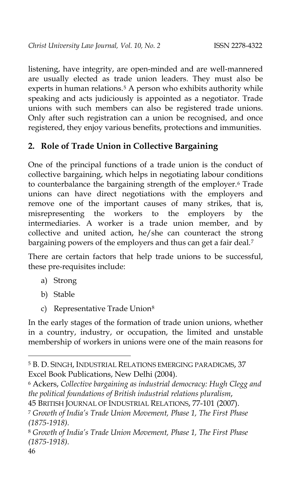listening, have integrity, are open-minded and are well-mannered are usually elected as trade union leaders. They must also be experts in human relations.<sup>[5](#page-3-0)</sup> A person who exhibits authority while speaking and acts judiciously is appointed as a negotiator. Trade unions with such members can also be registered trade unions. Only after such registration can a union be recognised, and once registered, they enjoy various benefits, protections and immunities.

# **2. Role of Trade Union in Collective Bargaining**

One of the principal functions of a trade union is the conduct of collective bargaining, which helps in negotiating labour conditions to counterbalance the bargaining strength of the employer.[6](#page-3-1) Trade unions can have direct negotiations with the employers and remove one of the important causes of many strikes, that is, misrepresenting the workers to the employers by the intermediaries. A worker is a trade union member, and by collective and united action, he/she can counteract the strong bargaining powers of the employers and thus can get a fair deal.[7](#page-3-2)

There are certain factors that help trade unions to be successful, these pre-requisites include:

- a) Strong
- b) Stable
- c) Representative Trade Union<sup>[8](#page-3-3)</sup>

In the early stages of the formation of trade union unions, whether in a country, industry, or occupation, the limited and unstable membership of workers in unions were one of the main reasons for

<span id="page-3-1"></span><sup>6</sup> Ackers, *Collective bargaining as industrial democracy: Hugh Clegg and the political foundations of British industrial relations pluralism*,

<span id="page-3-0"></span><sup>5</sup> B. D. SINGH, INDUSTRIAL RELATIONS EMERGING PARADIGMS, 37 Excel Book Publications, New Delhi (2004).

<sup>45</sup> BRITISH JOURNAL OF INDUSTRIAL RELATIONS, 77-101 (2007).

<span id="page-3-2"></span><sup>7</sup> *Growth of India's Trade Union Movement, Phase 1, The First Phase (1875-1918).*

<span id="page-3-3"></span><sup>8</sup> *Growth of India's Trade Union Movement, Phase 1, The First Phase (1875-1918).*

<sup>46</sup>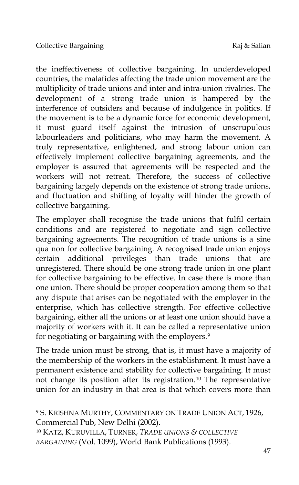-

the ineffectiveness of collective bargaining. In underdeveloped countries, the malafides affecting the trade union movement are the multiplicity of trade unions and inter and intra-union rivalries. The development of a strong trade union is hampered by the interference of outsiders and because of indulgence in politics. If the movement is to be a dynamic force for economic development, it must guard itself against the intrusion of unscrupulous labourleaders and politicians, who may harm the movement. A truly representative, enlightened, and strong labour union can effectively implement collective bargaining agreements, and the employer is assured that agreements will be respected and the workers will not retreat. Therefore, the success of collective bargaining largely depends on the existence of strong trade unions, and fluctuation and shifting of loyalty will hinder the growth of collective bargaining.

The employer shall recognise the trade unions that fulfil certain conditions and are registered to negotiate and sign collective bargaining agreements. The recognition of trade unions is a sine qua non for collective bargaining. A recognised trade union enjoys certain additional privileges than trade unions that are unregistered. There should be one strong trade union in one plant for collective bargaining to be effective. In case there is more than one union. There should be proper cooperation among them so that any dispute that arises can be negotiated with the employer in the enterprise, which has collective strength. For effective collective bargaining, either all the unions or at least one union should have a majority of workers with it. It can be called a representative union for negotiating or bargaining with the employers.<sup>[9](#page-4-0)</sup>

The trade union must be strong, that is, it must have a majority of the membership of the workers in the establishment. It must have a permanent existence and stability for collective bargaining. It must not change its position after its registration.[10](#page-4-1) The representative union for an industry in that area is that which covers more than

<span id="page-4-0"></span><sup>9</sup> S. KRISHNA MURTHY, COMMENTARY ON TRADE UNION ACT, 1926, Commercial Pub, New Delhi (2002).

<span id="page-4-1"></span><sup>10</sup> KATZ, KURUVILLA, TURNER, *TRADE UNIONS & COLLECTIVE BARGAINING* (Vol. 1099), World Bank Publications (1993).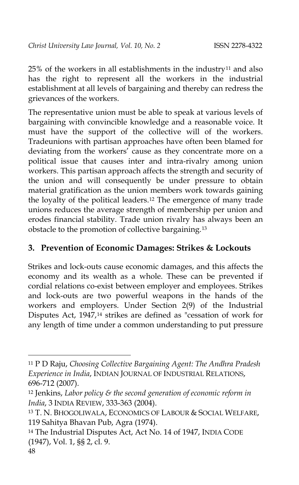$25%$  of the workers in all establishments in the industry<sup>[11](#page-5-0)</sup> and also has the right to represent all the workers in the industrial establishment at all levels of bargaining and thereby can redress the grievances of the workers.

The representative union must be able to speak at various levels of bargaining with convincible knowledge and a reasonable voice. It must have the support of the collective will of the workers. Tradeunions with partisan approaches have often been blamed for deviating from the workers' cause as they concentrate more on a political issue that causes inter and intra-rivalry among union workers. This partisan approach affects the strength and security of the union and will consequently be under pressure to obtain material gratification as the union members work towards gaining the loyalty of the political leaders.[12](#page-5-1) The emergence of many trade unions reduces the average strength of membership per union and erodes financial stability. Trade union rivalry has always been an obstacle to the promotion of collective bargaining.[13](#page-5-2)

## **3. Prevention of Economic Damages: Strikes & Lockouts**

Strikes and lock-outs cause economic damages, and this affects the economy and its wealth as a whole. These can be prevented if cordial relations co-exist between employer and employees. Strikes and lock-outs are two powerful weapons in the hands of the workers and employers. Under Section 2(9) of the Industrial Disputes Act, 1947,[14](#page-5-3) strikes are defined as "cessation of work for any length of time under a common understanding to put pressure

<span id="page-5-0"></span><sup>11</sup> P D Raju, *Choosing Collective Bargaining Agent: The Andhra Pradesh Experience in India*, INDIAN JOURNAL OF INDUSTRIAL RELATIONS, 696-712 (2007).

<span id="page-5-1"></span><sup>12</sup> Jenkins, *Labor policy & the second generation of economic reform in India*, 3 INDIA REVIEW, 333-363 (2004).

<span id="page-5-2"></span><sup>13</sup> T. N. BHOGOLIWALA, ECONOMICS OF LABOUR & SOCIAL WELFARE, 119 Sahitya Bhavan Pub, Agra (1974).

<span id="page-5-3"></span><sup>14</sup> The Industrial Disputes Act, Act No. 14 of 1947, INDIA CODE (1947), Vol. 1, §§ 2, cl. 9.

<sup>48</sup>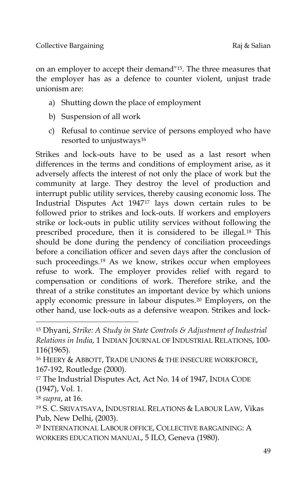on an employer to accept their demand"[15.](#page-6-0) The three measures that the employer has as a defence to counter violent, unjust trade unionism are:

- a) Shutting down the place of employment
- b) Suspension of all work
- c) Refusal to continue service of persons employed who have resorted to unjustways<sup>[16](#page-6-1)</sup>

Strikes and lock-outs have to be used as a last resort when differences in the terms and conditions of employment arise, as it adversely affects the interest of not only the place of work but the community at large. They destroy the level of production and interrupt public utility services, thereby causing economic loss. The Industrial Disputes Act 1947[17](#page-6-2) lays down certain rules to be followed prior to strikes and lock-outs. If workers and employers strike or lock-outs in public utility services without following the prescribed procedure, then it is considered to be illegal.[18](#page-6-3) This should be done during the pendency of conciliation proceedings before a conciliation officer and seven days after the conclusion of such proceedings.[19](#page-6-4) As we know, strikes occur when employees refuse to work. The employer provides relief with regard to compensation or conditions of work. Therefore strike, and the threat of a strike constitutes an important device by which unions apply economic pressure in labour disputes.[20](#page-6-5) Employers, on the other hand, use lock-outs as a defensive weapon. Strikes and lock-

<span id="page-6-3"></span><sup>18</sup> *supra*, at 16.

-

<span id="page-6-5"></span>20 INTERNATIONAL LABOUR OFFICE, COLLECTIVE BARGAINING: A WORKERS EDUCATION MANUAL, 5 ILO, Geneva (1980).

<span id="page-6-0"></span><sup>15</sup> Dhyani, *Strike: A Study in State Controls & Adjustment of Industrial Relations in India*, 1 INDIAN JOURNAL OF INDUSTRIAL RELATIONS, 100- 116(1965).

<span id="page-6-1"></span><sup>16</sup> HEERY & ABBOTT, TRADE UNIONS & THE INSECURE WORKFORCE, 167-192, Routledge (2000).

<span id="page-6-2"></span><sup>17</sup> The Industrial Disputes Act, Act No. 14 of 1947, INDIA CODE (1947), Vol. 1.

<span id="page-6-4"></span><sup>19</sup> S. C. SRIVATSAVA, INDUSTRIAL RELATIONS & LABOUR LAW, Vikas Pub, New Delhi, (2003).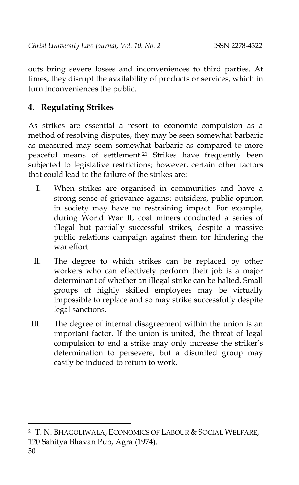outs bring severe losses and inconveniences to third parties. At times, they disrupt the availability of products or services, which in turn inconveniences the public.

# **4. Regulating Strikes**

As strikes are essential a resort to economic compulsion as a method of resolving disputes, they may be seen somewhat barbaric as measured may seem somewhat barbaric as compared to more peaceful means of settlement.[21](#page-7-0) Strikes have frequently been subjected to legislative restrictions; however, certain other factors that could lead to the failure of the strikes are:

- I. When strikes are organised in communities and have a strong sense of grievance against outsiders, public opinion in society may have no restraining impact. For example, during World War II, coal miners conducted a series of illegal but partially successful strikes, despite a massive public relations campaign against them for hindering the war effort.
- II. The degree to which strikes can be replaced by other workers who can effectively perform their job is a major determinant of whether an illegal strike can be halted. Small groups of highly skilled employees may be virtually impossible to replace and so may strike successfully despite legal sanctions.
- III. The degree of internal disagreement within the union is an important factor. If the union is united, the threat of legal compulsion to end a strike may only increase the striker's determination to persevere, but a disunited group may easily be induced to return to work.

<span id="page-7-0"></span><sup>21</sup> T. N. BHAGOLIWALA, ECONOMICS OF LABOUR & SOCIAL WELFARE, 120 Sahitya Bhavan Pub, Agra (1974).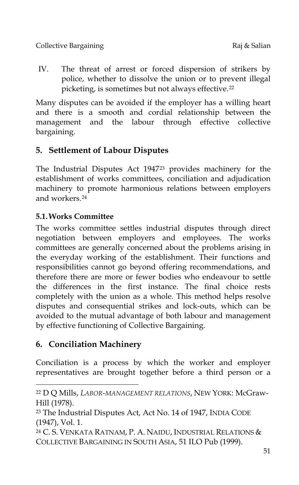IV. The threat of arrest or forced dispersion of strikers by police, whether to dissolve the union or to prevent illegal picketing, is sometimes but not always effective.[22](#page-8-0)

Many disputes can be avoided if the employer has a willing heart and there is a smooth and cordial relationship between the management and the labour through effective collective bargaining.

# **5. Settlement of Labour Disputes**

The Industrial Disputes Act 1947[23](#page-8-1) provides machinery for the establishment of works committees, conciliation and adjudication machinery to promote harmonious relations between employers and workers.[24](#page-8-2)

# **5.1.Works Committee**

The works committee settles industrial disputes through direct negotiation between employers and employees. The works committees are generally concerned about the problems arising in the everyday working of the establishment. Their functions and responsibilities cannot go beyond offering recommendations, and therefore there are more or fewer bodies who endeavour to settle the differences in the first instance. The final choice rests completely with the union as a whole. This method helps resolve disputes and consequential strikes and lock-outs, which can be avoided to the mutual advantage of both labour and management by effective functioning of Collective Bargaining.

# **6. Conciliation Machinery**

j

Conciliation is a process by which the worker and employer representatives are brought together before a third person or a

<span id="page-8-0"></span><sup>22</sup> D Q Mills, *LABOR-MANAGEMENT RELATIONS*, NEW YORK: McGraw-Hill (1978).

<span id="page-8-1"></span><sup>23</sup> The Industrial Disputes Act, Act No. 14 of 1947, INDIA CODE (1947), Vol. 1.

<span id="page-8-2"></span><sup>24</sup> C. S. VENKATA RATNAM, P. A. NAIDU, INDUSTRIAL RELATIONS & COLLECTIVE BARGAINING IN SOUTH ASIA, 51 ILO Pub (1999).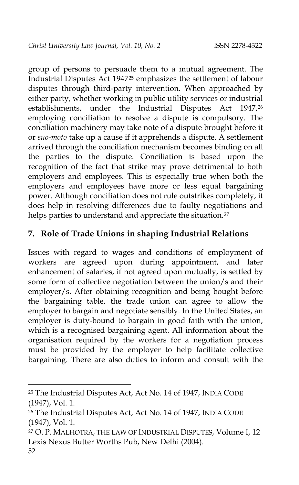group of persons to persuade them to a mutual agreement. The Industrial Disputes Act 1947[25](#page-9-0) emphasizes the settlement of labour disputes through third-party intervention. When approached by either party, whether working in public utility services or industrial establishments, under the Industrial Disputes Act 1947,[26](#page-9-1) employing conciliation to resolve a dispute is compulsory. The conciliation machinery may take note of a dispute brought before it or *suo-moto* take up a cause if it apprehends a dispute. A settlement arrived through the conciliation mechanism becomes binding on all the parties to the dispute. Conciliation is based upon the recognition of the fact that strike may prove detrimental to both employers and employees. This is especially true when both the employers and employees have more or less equal bargaining power. Although conciliation does not rule outstrikes completely, it does help in resolving differences due to faulty negotiations and helps parties to understand and appreciate the situation.<sup>[27](#page-9-2)</sup>

## **7. Role of Trade Unions in shaping Industrial Relations**

Issues with regard to wages and conditions of employment of workers are agreed upon during appointment, and later enhancement of salaries, if not agreed upon mutually, is settled by some form of collective negotiation between the union/s and their employer/s. After obtaining recognition and being bought before the bargaining table, the trade union can agree to allow the employer to bargain and negotiate sensibly. In the United States, an employer is duty-bound to bargain in good faith with the union, which is a recognised bargaining agent. All information about the organisation required by the workers for a negotiation process must be provided by the employer to help facilitate collective bargaining. There are also duties to inform and consult with the

j

<span id="page-9-0"></span><sup>25</sup> The Industrial Disputes Act, Act No. 14 of 1947, INDIA CODE (1947), Vol. 1.

<span id="page-9-1"></span><sup>26</sup> The Industrial Disputes Act, Act No. 14 of 1947, INDIA CODE (1947), Vol. 1.

<span id="page-9-2"></span><sup>52</sup> <sup>27</sup> O. P. MALHOTRA, THE LAW OF INDUSTRIAL DISPUTES, Volume I, 12 Lexis Nexus Butter Worths Pub, New Delhi (2004).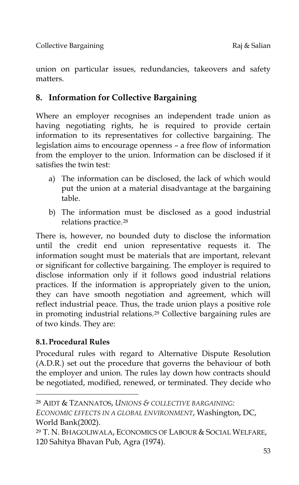union on particular issues, redundancies, takeovers and safety matters.

# **8. Information for Collective Bargaining**

Where an employer recognises an independent trade union as having negotiating rights, he is required to provide certain information to its representatives for collective bargaining. The legislation aims to encourage openness – a free flow of information from the employer to the union. Information can be disclosed if it satisfies the twin test:

- a) The information can be disclosed, the lack of which would put the union at a material disadvantage at the bargaining table.
- b) The information must be disclosed as a good industrial relations practice.[28](#page-10-0)

There is, however, no bounded duty to disclose the information until the credit end union representative requests it. The information sought must be materials that are important, relevant or significant for collective bargaining. The employer is required to disclose information only if it follows good industrial relations practices. If the information is appropriately given to the union, they can have smooth negotiation and agreement, which will reflect industrial peace. Thus, the trade union plays a positive role in promoting industrial relations.[29](#page-10-1) Collective bargaining rules are of two kinds. They are:

## **8.1.Procedural Rules**

-

Procedural rules with regard to Alternative Dispute Resolution (A.D.R.) set out the procedure that governs the behaviour of both the employer and union. The rules lay down how contracts should be negotiated, modified, renewed, or terminated. They decide who

<span id="page-10-0"></span><sup>28</sup> AIDT & TZANNATOS, *UNIONS & COLLECTIVE BARGAINING:*

*ECONOMIC EFFECTS IN A GLOBAL ENVIRONMENT*, Washington, DC, World Bank(2002).

<span id="page-10-1"></span><sup>29</sup> T. N. BHAGOLIWALA, ECONOMICS OF LABOUR & SOCIAL WELFARE, 120 Sahitya Bhavan Pub, Agra (1974).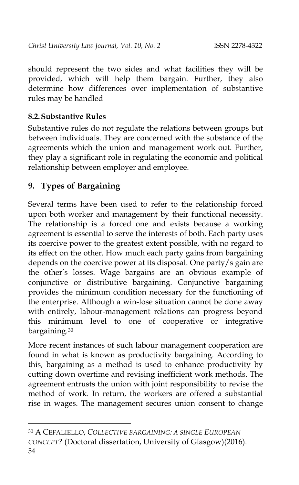should represent the two sides and what facilities they will be provided, which will help them bargain. Further, they also determine how differences over implementation of substantive rules may be handled

#### **8.2.Substantive Rules**

Substantive rules do not regulate the relations between groups but between individuals. They are concerned with the substance of the agreements which the union and management work out. Further, they play a significant role in regulating the economic and political relationship between employer and employee.

## **9. Types of Bargaining**

-

Several terms have been used to refer to the relationship forced upon both worker and management by their functional necessity. The relationship is a forced one and exists because a working agreement is essential to serve the interests of both. Each party uses its coercive power to the greatest extent possible, with no regard to its effect on the other. How much each party gains from bargaining depends on the coercive power at its disposal. One party/s gain are the other's losses. Wage bargains are an obvious example of conjunctive or distributive bargaining. Conjunctive bargaining provides the minimum condition necessary for the functioning of the enterprise. Although a win-lose situation cannot be done away with entirely, labour-management relations can progress beyond this minimum level to one of cooperative or integrative bargaining.[30](#page-11-0)

More recent instances of such labour management cooperation are found in what is known as productivity bargaining. According to this, bargaining as a method is used to enhance productivity by cutting down overtime and revising inefficient work methods. The agreement entrusts the union with joint responsibility to revise the method of work. In return, the workers are offered a substantial rise in wages. The management secures union consent to change

<span id="page-11-0"></span><sup>54</sup> 30 A CEFALIELLO, *COLLECTIVE BARGAINING: A SINGLE EUROPEAN CONCEPT?* (Doctoral dissertation, University of Glasgow)(2016).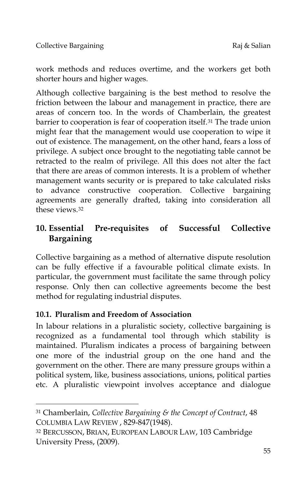work methods and reduces overtime, and the workers get both shorter hours and higher wages.

Although collective bargaining is the best method to resolve the friction between the labour and management in practice, there are areas of concern too. In the words of Chamberlain, the greatest barrier to cooperation is fear of cooperation itself.[31](#page-12-0) The trade union might fear that the management would use cooperation to wipe it out of existence. The management, on the other hand, fears a loss of privilege. A subject once brought to the negotiating table cannot be retracted to the realm of privilege. All this does not alter the fact that there are areas of common interests. It is a problem of whether management wants security or is prepared to take calculated risks to advance constructive cooperation. Collective bargaining agreements are generally drafted, taking into consideration all these views.[32](#page-12-1)

# **10. Essential Pre-requisites of Successful Collective Bargaining**

Collective bargaining as a method of alternative dispute resolution can be fully effective if a favourable political climate exists. In particular, the government must facilitate the same through policy response. Only then can collective agreements become the best method for regulating industrial disputes.

## **10.1. Pluralism and Freedom of Association**

-

In labour relations in a pluralistic society, collective bargaining is recognized as a fundamental tool through which stability is maintained. Pluralism indicates a process of bargaining between one more of the industrial group on the one hand and the government on the other. There are many pressure groups within a political system, like, business associations, unions, political parties etc. A pluralistic viewpoint involves acceptance and dialogue

<span id="page-12-0"></span><sup>31</sup> Chamberlain, *Collective Bargaining & the Concept of Contract*, 48 COLUMBIA LAW REVIEW , 829-847(1948).

<span id="page-12-1"></span><sup>32</sup> BERCUSSON, BRIAN, EUROPEAN LABOUR LAW, 103 Cambridge University Press, (2009).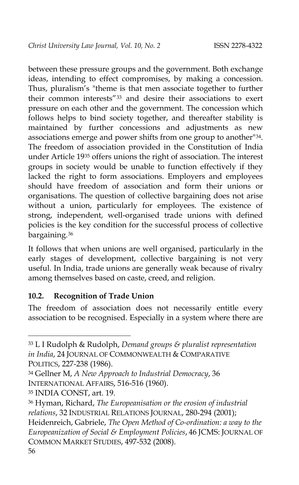between these pressure groups and the government. Both exchange ideas, intending to effect compromises, by making a concession. Thus, pluralism's "theme is that men associate together to further their common interests"[33](#page-13-0) and desire their associations to exert pressure on each other and the government. The concession which follows helps to bind society together, and thereafter stability is maintained by further concessions and adjustments as new associations emerge and power shifts from one group to another"[34.](#page-13-1) The freedom of association provided in the Constitution of India under Article 19[35](#page-13-2) offers unions the right of association. The interest groups in society would be unable to function effectively if they lacked the right to form associations. Employers and employees should have freedom of association and form their unions or organisations. The question of collective bargaining does not arise without a union, particularly for employees. The existence of strong, independent, well-organised trade unions with defined policies is the key condition for the successful process of collective bargaining.<sup>[36](#page-13-3)</sup>

It follows that when unions are well organised, particularly in the early stages of development, collective bargaining is not very useful. In India, trade unions are generally weak because of rivalry among themselves based on caste, creed, and religion.

#### **10.2. Recognition of Trade Union**

The freedom of association does not necessarily entitle every association to be recognised. Especially in a system where there are

<span id="page-13-0"></span><sup>33</sup> L I Rudolph & Rudolph, *Demand groups & pluralist representation in India*, 24 JOURNAL OF COMMONWEALTH & COMPARATIVE POLITICS, 227-238 (1986).

<span id="page-13-1"></span><sup>34</sup> Gellner M, *A New Approach to Industrial Democracy*, 36 INTERNATIONAL AFFAIRS, 516-516 (1960).

<span id="page-13-2"></span><sup>35</sup> INDIA CONST, art. 19.

<span id="page-13-3"></span><sup>36</sup> Hyman, Richard, *The Europeanisation or the erosion of industrial relations*, 32 INDUSTRIAL RELATIONS JOURNAL, 280-294 (2001); Heidenreich, Gabriele, *The Open Method of Co-ordination: a way to the Europeanization of Social & Employment Policies*, 46 JCMS: JOURNAL OF COMMON MARKET STUDIES, 497-532 (2008).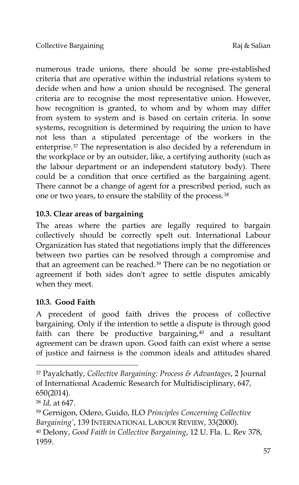numerous trade unions, there should be some pre-established criteria that are operative within the industrial relations system to decide when and how a union should be recognised. The general criteria are to recognise the most representative union. However, how recognition is granted, to whom and by whom may differ from system to system and is based on certain criteria. In some systems, recognition is determined by requiring the union to have not less than a stipulated percentage of the workers in the enterprise.[37](#page-14-0) The representation is also decided by a referendum in the workplace or by an outsider, like, a certifying authority (such as the labour department or an independent statutory body). There could be a condition that once certified as the bargaining agent. There cannot be a change of agent for a prescribed period, such as one or two years, to ensure the stability of the process.[38](#page-14-1)

## **10.3. Clear areas of bargaining**

The areas where the parties are legally required to bargain collectively should be correctly spelt out. International Labour Organization has stated that negotiations imply that the differences between two parties can be resolved through a compromise and that an agreement can be reached.[39](#page-14-2) There can be no negotiation or agreement if both sides don't agree to settle disputes amicably when they meet.

## **10.3. Good Faith**

A precedent of good faith drives the process of collective bargaining. Only if the intention to settle a dispute is through good faith can there be productive bargaining, $40$  and a resultant agreement can be drawn upon. Good faith can exist where a sense of justice and fairness is the common ideals and attitudes shared

<span id="page-14-0"></span><sup>37</sup> Payalchatly, *Collective Bargaining: Process & Advantages*, 2 Journal of International Academic Research for Multidisciplinary, 647, 650(2014).

<span id="page-14-1"></span><sup>38</sup> *Id,* at 647.

<span id="page-14-3"></span><span id="page-14-2"></span><sup>39</sup> Gernigon, Odero, Guido, ILO *Principles Concerning Collective Bargaining'*, 139 INTERNATIONAL LABOUR REVIEW, 33(2000). <sup>40</sup> Delony, *Good Faith in Collective Bargaining*, 12 U. Fla. L. Rev 378, 1959.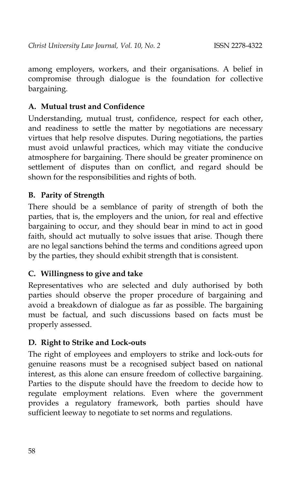among employers, workers, and their organisations. A belief in compromise through dialogue is the foundation for collective bargaining.

## **A. Mutual trust and Confidence**

Understanding, mutual trust, confidence, respect for each other, and readiness to settle the matter by negotiations are necessary virtues that help resolve disputes. During negotiations, the parties must avoid unlawful practices, which may vitiate the conducive atmosphere for bargaining. There should be greater prominence on settlement of disputes than on conflict, and regard should be shown for the responsibilities and rights of both.

#### **B. Parity of Strength**

There should be a semblance of parity of strength of both the parties, that is, the employers and the union, for real and effective bargaining to occur, and they should bear in mind to act in good faith, should act mutually to solve issues that arise. Though there are no legal sanctions behind the terms and conditions agreed upon by the parties, they should exhibit strength that is consistent.

#### **C. Willingness to give and take**

Representatives who are selected and duly authorised by both parties should observe the proper procedure of bargaining and avoid a breakdown of dialogue as far as possible. The bargaining must be factual, and such discussions based on facts must be properly assessed.

## **D. Right to Strike and Lock-outs**

The right of employees and employers to strike and lock-outs for genuine reasons must be a recognised subject based on national interest, as this alone can ensure freedom of collective bargaining. Parties to the dispute should have the freedom to decide how to regulate employment relations. Even where the government provides a regulatory framework, both parties should have sufficient leeway to negotiate to set norms and regulations.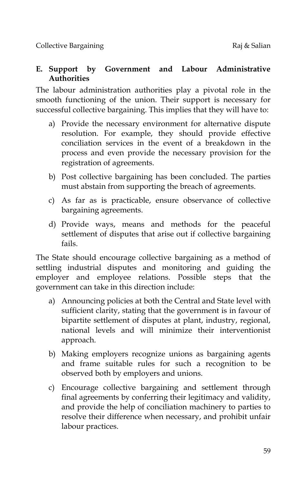#### **E. Support by Government and Labour Administrative Authorities**

The labour administration authorities play a pivotal role in the smooth functioning of the union. Their support is necessary for successful collective bargaining. This implies that they will have to:

- a) Provide the necessary environment for alternative dispute resolution. For example, they should provide effective conciliation services in the event of a breakdown in the process and even provide the necessary provision for the registration of agreements.
- b) Post collective bargaining has been concluded. The parties must abstain from supporting the breach of agreements.
- c) As far as is practicable, ensure observance of collective bargaining agreements.
- d) Provide ways, means and methods for the peaceful settlement of disputes that arise out if collective bargaining fails.

The State should encourage collective bargaining as a method of settling industrial disputes and monitoring and guiding the employer and employee relations. Possible steps that the government can take in this direction include:

- a) Announcing policies at both the Central and State level with sufficient clarity, stating that the government is in favour of bipartite settlement of disputes at plant, industry, regional, national levels and will minimize their interventionist approach.
- b) Making employers recognize unions as bargaining agents and frame suitable rules for such a recognition to be observed both by employers and unions.
- c) Encourage collective bargaining and settlement through final agreements by conferring their legitimacy and validity, and provide the help of conciliation machinery to parties to resolve their difference when necessary, and prohibit unfair labour practices.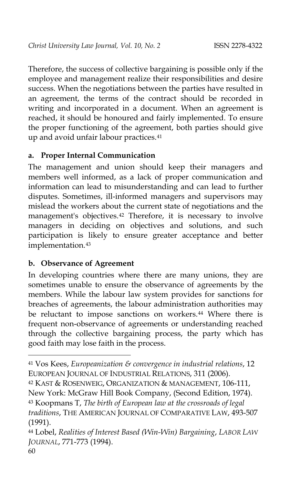Therefore, the success of collective bargaining is possible only if the employee and management realize their responsibilities and desire success. When the negotiations between the parties have resulted in an agreement, the terms of the contract should be recorded in writing and incorporated in a document. When an agreement is reached, it should be honoured and fairly implemented. To ensure the proper functioning of the agreement, both parties should give up and avoid unfair labour practices.<sup>[41](#page-17-0)</sup>

#### **a. Proper Internal Communication**

The management and union should keep their managers and members well informed, as a lack of proper communication and information can lead to misunderstanding and can lead to further disputes. Sometimes, ill-informed managers and supervisors may mislead the workers about the current state of negotiations and the management's objectives.[42](#page-17-1) Therefore, it is necessary to involve managers in deciding on objectives and solutions, and such participation is likely to ensure greater acceptance and better implementation.<sup>[43](#page-17-2)</sup>

#### **b. Observance of Agreement**

In developing countries where there are many unions, they are sometimes unable to ensure the observance of agreements by the members. While the labour law system provides for sanctions for breaches of agreements, the labour administration authorities may be reluctant to impose sanctions on workers.<sup>[44](#page-17-3)</sup> Where there is frequent non-observance of agreements or understanding reached through the collective bargaining process, the party which has good faith may lose faith in the process.

<span id="page-17-2"></span><span id="page-17-1"></span>42 KAST & ROSENWEIG, ORGANIZATION & MANAGEMENT, 106-111, New York: McGraw Hill Book Company, (Second Edition, 1974). <sup>43</sup> Koopmans T, *The birth of European law at the crossroads of legal traditions*, THE AMERICAN JOURNAL OF COMPARATIVE LAW, 493-507 (1991).

<span id="page-17-0"></span><sup>41</sup> Vos Kees, *Europeanization & convergence in industrial relations*, 12 EUROPEAN JOURNAL OF INDUSTRIAL RELATIONS, 311 (2006).

<span id="page-17-3"></span><sup>44</sup> Lobel, *Realities of Interest Based (Win-Win) Bargaining*, *LABOR LAW JOURNAL*, 771-773 (1994).

<sup>60</sup>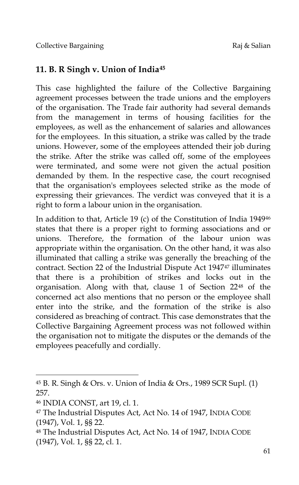## **11. B. R Singh v. Union of India[45](#page-18-0)**

This case highlighted the failure of the Collective Bargaining agreement processes between the trade unions and the employers of the organisation. The Trade fair authority had several demands from the management in terms of housing facilities for the employees, as well as the enhancement of salaries and allowances for the employees. In this situation, a strike was called by the trade unions. However, some of the employees attended their job during the strike. After the strike was called off, some of the employees were terminated, and some were not given the actual position demanded by them. In the respective case, the court recognised that the organisation's employees selected strike as the mode of expressing their grievances. The verdict was conveyed that it is a right to form a labour union in the organisation.

In addition to that, Article 19 (c) of the Constitution of India 1949[46](#page-18-1) states that there is a proper right to forming associations and or unions. Therefore, the formation of the labour union was appropriate within the organisation. On the other hand, it was also illuminated that calling a strike was generally the breaching of the contract. Section 22 of the Industrial Dispute Act 1947[47](#page-18-2) illuminates that there is a prohibition of strikes and locks out in the organisation. Along with that, clause 1 of Section 22[48](#page-18-3) of the concerned act also mentions that no person or the employee shall enter into the strike, and the formation of the strike is also considered as breaching of contract. This case demonstrates that the Collective Bargaining Agreement process was not followed within the organisation not to mitigate the disputes or the demands of the employees peacefully and cordially.

<span id="page-18-0"></span><sup>45</sup> B. R. Singh & Ors. v. Union of India & Ors., 1989 SCR Supl. (1) 257.

<span id="page-18-1"></span><sup>46</sup> INDIA CONST, art 19, cl. 1.

<span id="page-18-2"></span><sup>47</sup> The Industrial Disputes Act, Act No. 14 of 1947, INDIA CODE (1947), Vol. 1, §§ 22.

<span id="page-18-3"></span><sup>48</sup> The Industrial Disputes Act, Act No. 14 of 1947, INDIA CODE (1947), Vol. 1, §§ 22, cl. 1.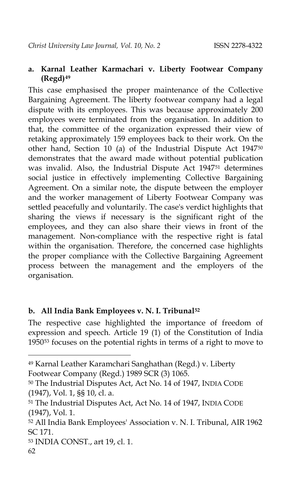#### **a. Karnal Leather Karmachari v. Liberty Footwear Company (Regd)[49](#page-19-0)**

This case emphasised the proper maintenance of the Collective Bargaining Agreement. The liberty footwear company had a legal dispute with its employees. This was because approximately 200 employees were terminated from the organisation. In addition to that, the committee of the organization expressed their view of retaking approximately 159 employees back to their work. On the other hand, Section 10 (a) of the Industrial Dispute Act 1947[50](#page-19-1) demonstrates that the award made without potential publication was invalid. Also, the Industrial Dispute Act 1947[51](#page-19-2) determines social justice in effectively implementing Collective Bargaining Agreement. On a similar note, the dispute between the employer and the worker management of Liberty Footwear Company was settled peacefully and voluntarily. The case's verdict highlights that sharing the views if necessary is the significant right of the employees, and they can also share their views in front of the management. Non-compliance with the respective right is fatal within the organisation. Therefore, the concerned case highlights the proper compliance with the Collective Bargaining Agreement process between the management and the employers of the organisation.

#### **b. All India Bank Employees v. N. I. Tribunal[52](#page-19-3)**

The respective case highlighted the importance of freedom of expression and speech. Article 19 (1) of the Constitution of India 1950[53](#page-19-4) focuses on the potential rights in terms of a right to move to

<span id="page-19-0"></span><sup>49</sup> Karnal Leather Karamchari Sanghathan (Regd.) v. Liberty Footwear Company (Regd.) 1989 SCR (3) 1065.

<span id="page-19-1"></span><sup>50</sup> The Industrial Disputes Act, Act No. 14 of 1947, INDIA CODE (1947), Vol. 1, §§ 10, cl. a.

<span id="page-19-2"></span><sup>51</sup> The Industrial Disputes Act, Act No. 14 of 1947, INDIA CODE (1947), Vol. 1.

<span id="page-19-3"></span><sup>52</sup> All India Bank Employees' Association v. N. I. Tribunal, AIR 1962 SC 171.

<span id="page-19-4"></span><sup>53</sup> INDIA CONST., art 19, cl. 1.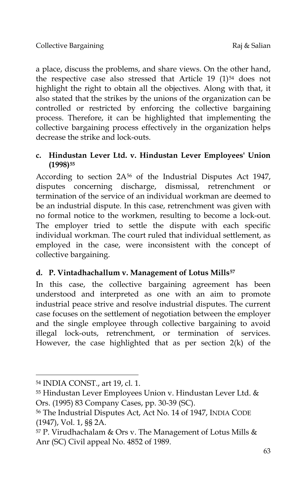a place, discuss the problems, and share views. On the other hand, the respective case also stressed that Article 19 (1)<sup>[54](#page-20-0)</sup> does not highlight the right to obtain all the objectives. Along with that, it also stated that the strikes by the unions of the organization can be controlled or restricted by enforcing the collective bargaining process. Therefore, it can be highlighted that implementing the collective bargaining process effectively in the organization helps decrease the strike and lock-outs.

#### **c. Hindustan Lever Ltd. v. Hindustan Lever Employees' Union (1998)[55](#page-20-1)**

According to section  $2A^{56}$  $2A^{56}$  $2A^{56}$  of the Industrial Disputes Act 1947, disputes concerning discharge, dismissal, retrenchment or termination of the service of an individual workman are deemed to be an industrial dispute. In this case, retrenchment was given with no formal notice to the workmen, resulting to become a lock-out. The employer tried to settle the dispute with each specific individual workman. The court ruled that individual settlement, as employed in the case, were inconsistent with the concept of collective bargaining.

## **d. P. Vintadhachallum v. Management of Lotus Mills[57](#page-20-3)**

In this case, the collective bargaining agreement has been understood and interpreted as one with an aim to promote industrial peace strive and resolve industrial disputes. The current case focuses on the settlement of negotiation between the employer and the single employee through collective bargaining to avoid illegal lock-outs, retrenchment, or termination of services. However, the case highlighted that as per section 2(k) of the

<span id="page-20-0"></span><sup>54</sup> INDIA CONST., art 19, cl. 1.

<span id="page-20-1"></span><sup>55</sup> Hindustan Lever Employees Union v. Hindustan Lever Ltd. & Ors. (1995) 83 Company Cases, pp. 30-39 (SC).

<span id="page-20-2"></span><sup>56</sup> The Industrial Disputes Act, Act No. 14 of 1947, INDIA CODE (1947), Vol. 1, §§ 2A.

<span id="page-20-3"></span><sup>&</sup>lt;sup>57</sup> P. Virudhachalam & Ors v. The Management of Lotus Mills & Anr (SC) Civil appeal No. 4852 of 1989.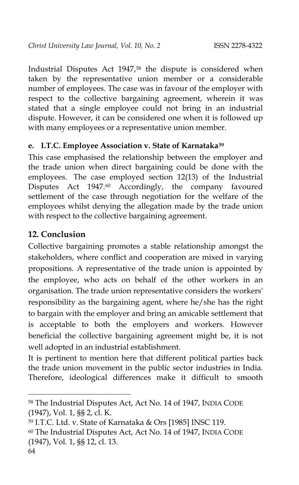Industrial Disputes Act 1947,[58](#page-21-0) the dispute is considered when taken by the representative union member or a considerable number of employees. The case was in favour of the employer with respect to the collective bargaining agreement, wherein it was stated that a single employee could not bring in an industrial dispute. However, it can be considered one when it is followed up with many employees or a representative union member.

#### **e. I.T.C. Employee Association v. State of Karnataka[59](#page-21-1)**

This case emphasised the relationship between the employer and the trade union when direct bargaining could be done with the employees. The case employed section 12(13) of the Industrial Disputes Act 1947.<sup>[60](#page-21-2)</sup> Accordingly, the company favoured settlement of the case through negotiation for the welfare of the employees whilst denying the allegation made by the trade union with respect to the collective bargaining agreement.

# **12. Conclusion**

Collective bargaining promotes a stable relationship amongst the stakeholders, where conflict and cooperation are mixed in varying propositions. A representative of the trade union is appointed by the employee, who acts on behalf of the other workers in an organisation. The trade union representative considers the workers' responsibility as the bargaining agent, where he/she has the right to bargain with the employer and bring an amicable settlement that is acceptable to both the employers and workers. However beneficial the collective bargaining agreement might be, it is not well adopted in an industrial establishment.

It is pertinent to mention here that different political parties back the trade union movement in the public sector industries in India. Therefore, ideological differences make it difficult to smooth

<span id="page-21-0"></span><sup>58</sup> The Industrial Disputes Act, Act No. 14 of 1947, INDIA CODE (1947), Vol. 1, §§ 2, cl. K.

<span id="page-21-2"></span><span id="page-21-1"></span><sup>59</sup> I.T.C. Ltd. v. State of Karnataka & Ors [1985] INSC 119. <sup>60</sup> The Industrial Disputes Act, Act No. 14 of 1947, INDIA CODE (1947), Vol. 1, §§ 12, cl. 13.

<sup>64</sup>